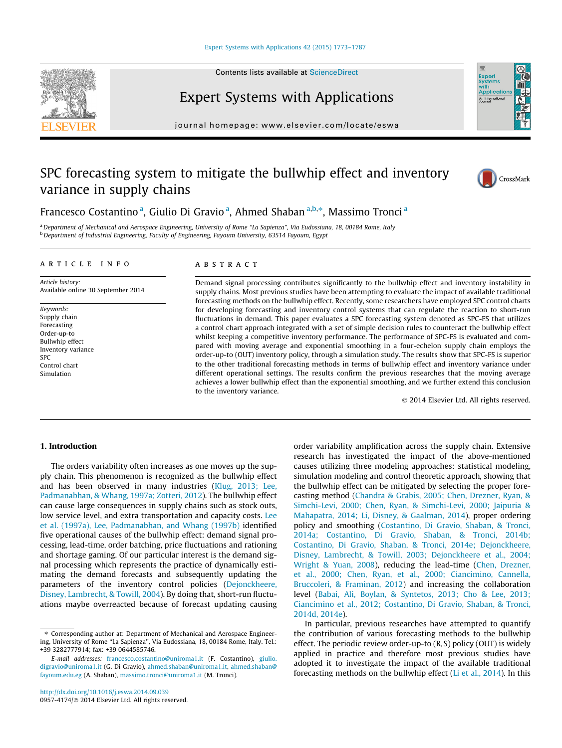#### [Expert Systems with Applications 42 \(2015\) 1773–1787](http://dx.doi.org/10.1016/j.eswa.2014.09.039)







# Expert Systems with Applications

journal homepage: [www.elsevier.com/locate/eswa](http://www.elsevier.com/locate/eswa)

### SPC forecasting system to mitigate the bullwhip effect and inventory variance in supply chains



Francesco Costantino<sup>a</sup>, Giulio Di Gravio<sup>a</sup>, Ahmed Shaban<sup>a,b,\*</sup>, Massimo Tronci<sup>a</sup>

<sup>a</sup> Department of Mechanical and Aerospace Engineering, University of Rome "La Sapienza", Via Eudossiana, 18, 00184 Rome, Italy <sup>b</sup> Department of Industrial Engineering, Faculty of Engineering, Fayoum University, 63514 Fayoum, Egypt

#### article info

Article history: Available online 30 September 2014

Keywords: Supply chain Forecasting Order-up-to Bullwhip effect Inventory variance SPC Control chart Simulation

#### ABSTRACT

Demand signal processing contributes significantly to the bullwhip effect and inventory instability in supply chains. Most previous studies have been attempting to evaluate the impact of available traditional forecasting methods on the bullwhip effect. Recently, some researchers have employed SPC control charts for developing forecasting and inventory control systems that can regulate the reaction to short-run fluctuations in demand. This paper evaluates a SPC forecasting system denoted as SPC-FS that utilizes a control chart approach integrated with a set of simple decision rules to counteract the bullwhip effect whilst keeping a competitive inventory performance. The performance of SPC-FS is evaluated and compared with moving average and exponential smoothing in a four-echelon supply chain employs the order-up-to (OUT) inventory policy, through a simulation study. The results show that SPC-FS is superior to the other traditional forecasting methods in terms of bullwhip effect and inventory variance under different operational settings. The results confirm the previous researches that the moving average achieves a lower bullwhip effect than the exponential smoothing, and we further extend this conclusion to the inventory variance.

- 2014 Elsevier Ltd. All rights reserved.

#### 1. Introduction

The orders variability often increases as one moves up the supply chain. This phenomenon is recognized as the bullwhip effect and has been observed in many industries ([Klug, 2013; Lee,](#page--1-0) [Padmanabhan, & Whang, 1997a; Zotteri, 2012](#page--1-0)). The bullwhip effect can cause large consequences in supply chains such as stock outs, low service level, and extra transportation and capacity costs. [Lee](#page--1-0) [et al. \(1997a\), Lee, Padmanabhan, and Whang \(1997b\)](#page--1-0) identified five operational causes of the bullwhip effect: demand signal processing, lead-time, order batching, price fluctuations and rationing and shortage gaming. Of our particular interest is the demand signal processing which represents the practice of dynamically estimating the demand forecasts and subsequently updating the parameters of the inventory control policies [\(Dejonckheere,](#page--1-0) [Disney, Lambrecht, & Towill, 2004\)](#page--1-0). By doing that, short-run fluctuations maybe overreacted because of forecast updating causing

order variability amplification across the supply chain. Extensive research has investigated the impact of the above-mentioned causes utilizing three modeling approaches: statistical modeling, simulation modeling and control theoretic approach, showing that the bullwhip effect can be mitigated by selecting the proper forecasting method ([Chandra & Grabis, 2005; Chen, Drezner, Ryan, &](#page--1-0) [Simchi-Levi, 2000; Chen, Ryan, & Simchi-Levi, 2000; Jaipuria &](#page--1-0) [Mahapatra, 2014; Li, Disney, & Gaalman, 2014](#page--1-0)), proper ordering policy and smoothing ([Costantino, Di Gravio, Shaban, & Tronci,](#page--1-0) [2014a; Costantino, Di Gravio, Shaban, & Tronci, 2014b;](#page--1-0) [Costantino, Di Gravio, Shaban, & Tronci, 2014e; Dejonckheere,](#page--1-0) [Disney, Lambrecht, & Towill, 2003; Dejonckheere et al., 2004;](#page--1-0) [Wright & Yuan, 2008](#page--1-0)), reducing the lead-time [\(Chen, Drezner,](#page--1-0) [et al., 2000; Chen, Ryan, et al., 2000; Ciancimino, Cannella,](#page--1-0) [Bruccoleri, & Framinan, 2012](#page--1-0)) and increasing the collaboration level [\(Babai, Ali, Boylan, & Syntetos, 2013; Cho & Lee, 2013;](#page--1-0) [Ciancimino et al., 2012; Costantino, Di Gravio, Shaban, & Tronci,](#page--1-0) [2014d, 2014e](#page--1-0)).

In particular, previous researches have attempted to quantify the contribution of various forecasting methods to the bullwhip effect. The periodic review order-up-to (R, S) policy (OUT) is widely applied in practice and therefore most previous studies have adopted it to investigate the impact of the available traditional forecasting methods on the bullwhip effect [\(Li et al., 2014](#page--1-0)). In this

<sup>⇑</sup> Corresponding author at: Department of Mechanical and Aerospace Engineering, University of Rome ''La Sapienza'', Via Eudossiana, 18, 00184 Rome, Italy. Tel.: +39 3282777914; fax: +39 0644585746.

E-mail addresses: [francesco.costantino@uniroma1.it](mailto:francesco.costantino@uniroma1.it) (F. Costantino), [giulio.](mailto:giulio.digravio@uniroma1.it) [digravio@uniroma1.it](mailto:giulio.digravio@uniroma1.it) (G. Di Gravio), [ahmed.shaban@uniroma1.it,](mailto:ahmed.shaban@uniroma1.it) [ahmed.shaban@](mailto:ahmed.shaban@fayoum.edu.eg) [fayoum.edu.eg](mailto:ahmed.shaban@fayoum.edu.eg) (A. Shaban), [massimo.tronci@uniroma1.it](mailto:massimo.tronci@uniroma1.it) (M. Tronci).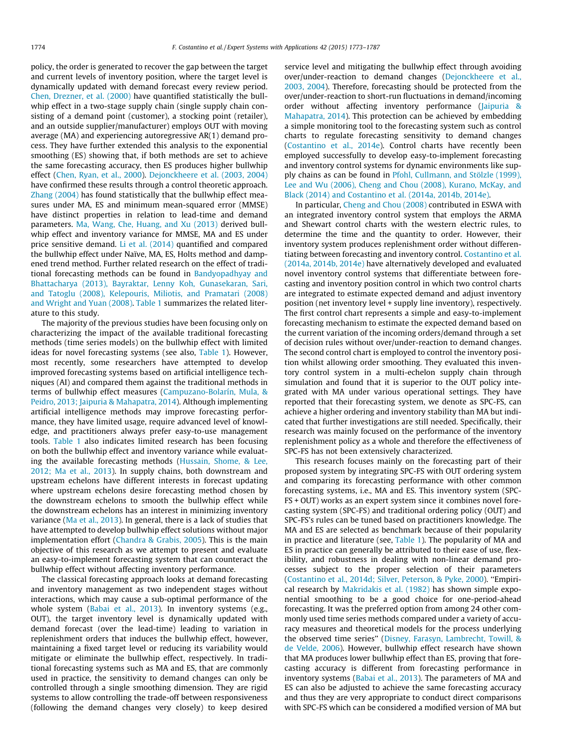policy, the order is generated to recover the gap between the target and current levels of inventory position, where the target level is dynamically updated with demand forecast every review period. [Chen, Drezner, et al. \(2000\)](#page--1-0) have quantified statistically the bullwhip effect in a two-stage supply chain (single supply chain consisting of a demand point (customer), a stocking point (retailer), and an outside supplier/manufacturer) employs OUT with moving average (MA) and experiencing autoregressive AR(1) demand process. They have further extended this analysis to the exponential smoothing (ES) showing that, if both methods are set to achieve the same forecasting accuracy, then ES produces higher bullwhip effect ([Chen, Ryan, et al., 2000](#page--1-0)). [Dejonckheere et al. \(2003, 2004\)](#page--1-0) have confirmed these results through a control theoretic approach. [Zhang \(2004\)](#page--1-0) has found statistically that the bullwhip effect measures under MA, ES and minimum mean-squared error (MMSE) have distinct properties in relation to lead-time and demand parameters. [Ma, Wang, Che, Huang, and Xu \(2013\)](#page--1-0) derived bullwhip effect and inventory variance for MMSE, MA and ES under price sensitive demand. [Li et al. \(2014\)](#page--1-0) quantified and compared the bullwhip effect under Naïve, MA, ES, Holts method and dampened trend method. Further related research on the effect of traditional forecasting methods can be found in [Bandyopadhyay and](#page--1-0) [Bhattacharya \(2013\), Bayraktar, Lenny Koh, Gunasekaran, Sari,](#page--1-0) [and Tatoglu \(2008\), Kelepouris, Miliotis, and Pramatari \(2008\)](#page--1-0) [and Wright and Yuan \(2008\)](#page--1-0). [Table 1](#page--1-0) summarizes the related literature to this study.

The majority of the previous studies have been focusing only on characterizing the impact of the available traditional forecasting methods (time series models) on the bullwhip effect with limited ideas for novel forecasting systems (see also, [Table 1\)](#page--1-0). However, most recently, some researchers have attempted to develop improved forecasting systems based on artificial intelligence techniques (AI) and compared them against the traditional methods in terms of bullwhip effect measures [\(Campuzano-Bolarín, Mula, &](#page--1-0) [Peidro, 2013; Jaipuria & Mahapatra, 2014\)](#page--1-0). Although implementing artificial intelligence methods may improve forecasting performance, they have limited usage, require advanced level of knowledge, and practitioners always prefer easy-to-use management tools. [Table 1](#page--1-0) also indicates limited research has been focusing on both the bullwhip effect and inventory variance while evaluating the available forecasting methods ([Hussain, Shome, & Lee,](#page--1-0) [2012; Ma et al., 2013](#page--1-0)). In supply chains, both downstream and upstream echelons have different interests in forecast updating where upstream echelons desire forecasting method chosen by the downstream echelons to smooth the bullwhip effect while the downstream echelons has an interest in minimizing inventory variance ([Ma et al., 2013\)](#page--1-0). In general, there is a lack of studies that have attempted to develop bullwhip effect solutions without major implementation effort [\(Chandra & Grabis, 2005\)](#page--1-0). This is the main objective of this research as we attempt to present and evaluate an easy-to-implement forecasting system that can counteract the bullwhip effect without affecting inventory performance.

The classical forecasting approach looks at demand forecasting and inventory management as two independent stages without interactions, which may cause a sub-optimal performance of the whole system [\(Babai et al., 2013\)](#page--1-0). In inventory systems (e.g., OUT), the target inventory level is dynamically updated with demand forecast (over the lead-time) leading to variation in replenishment orders that induces the bullwhip effect, however, maintaining a fixed target level or reducing its variability would mitigate or eliminate the bullwhip effect, respectively. In traditional forecasting systems such as MA and ES, that are commonly used in practice, the sensitivity to demand changes can only be controlled through a single smoothing dimension. They are rigid systems to allow controlling the trade-off between responsiveness (following the demand changes very closely) to keep desired

service level and mitigating the bullwhip effect through avoiding over/under-reaction to demand changes [\(Dejonckheere et al.,](#page--1-0) [2003, 2004\)](#page--1-0). Therefore, forecasting should be protected from the over/under-reaction to short-run fluctuations in demand/incoming order without affecting inventory performance [\(Jaipuria &](#page--1-0) [Mahapatra, 2014](#page--1-0)). This protection can be achieved by embedding a simple monitoring tool to the forecasting system such as control charts to regulate forecasting sensitivity to demand changes ([Costantino et al., 2014e\)](#page--1-0). Control charts have recently been employed successfully to develop easy-to-implement forecasting and inventory control systems for dynamic environments like supply chains as can be found in [Pfohl, Cullmann, and Stölzle \(1999\),](#page--1-0) [Lee and Wu \(2006\), Cheng and Chou \(2008\), Kurano, McKay, and](#page--1-0) [Black \(2014\) and Costantino et al. \(2014a, 2014b, 2014e\).](#page--1-0)

In particular, [Cheng and Chou \(2008\)](#page--1-0) contributed in ESWA with an integrated inventory control system that employs the ARMA and Shewart control charts with the western electric rules, to determine the time and the quantity to order. However, their inventory system produces replenishment order without differentiating between forecasting and inventory control. [Costantino et al.](#page--1-0) [\(2014a, 2014b, 2014e\)](#page--1-0) have alternatively developed and evaluated novel inventory control systems that differentiate between forecasting and inventory position control in which two control charts are integrated to estimate expected demand and adjust inventory position (net inventory level + supply line inventory), respectively. The first control chart represents a simple and easy-to-implement forecasting mechanism to estimate the expected demand based on the current variation of the incoming orders/demand through a set of decision rules without over/under-reaction to demand changes. The second control chart is employed to control the inventory position whilst allowing order smoothing. They evaluated this inventory control system in a multi-echelon supply chain through simulation and found that it is superior to the OUT policy integrated with MA under various operational settings. They have reported that their forecasting system, we denote as SPC-FS, can achieve a higher ordering and inventory stability than MA but indicated that further investigations are still needed. Specifically, their research was mainly focused on the performance of the inventory replenishment policy as a whole and therefore the effectiveness of SPC-FS has not been extensively characterized.

This research focuses mainly on the forecasting part of their proposed system by integrating SPC-FS with OUT ordering system and comparing its forecasting performance with other common forecasting systems, i.e., MA and ES. This inventory system (SPC-FS + OUT) works as an expert system since it combines novel forecasting system (SPC-FS) and traditional ordering policy (OUT) and SPC-FS's rules can be tuned based on practitioners knowledge. The MA and ES are selected as benchmark because of their popularity in practice and literature (see, [Table 1\)](#page--1-0). The popularity of MA and ES in practice can generally be attributed to their ease of use, flexibility, and robustness in dealing with non-linear demand processes subject to the proper selection of their parameters ([Costantino et al., 2014d; Silver, Peterson, & Pyke, 2000\)](#page--1-0). ''Empirical research by [Makridakis et al. \(1982\)](#page--1-0) has shown simple exponential smoothing to be a good choice for one-period-ahead forecasting. It was the preferred option from among 24 other commonly used time series methods compared under a variety of accuracy measures and theoretical models for the process underlying the observed time series'' [\(Disney, Farasyn, Lambrecht, Towill, &](#page--1-0) [de Velde, 2006](#page--1-0)). However, bullwhip effect research have shown that MA produces lower bullwhip effect than ES, proving that forecasting accuracy is different from forecasting performance in inventory systems [\(Babai et al., 2013\)](#page--1-0). The parameters of MA and ES can also be adjusted to achieve the same forecasting accuracy and thus they are very appropriate to conduct direct comparisons with SPC-FS which can be considered a modified version of MA but